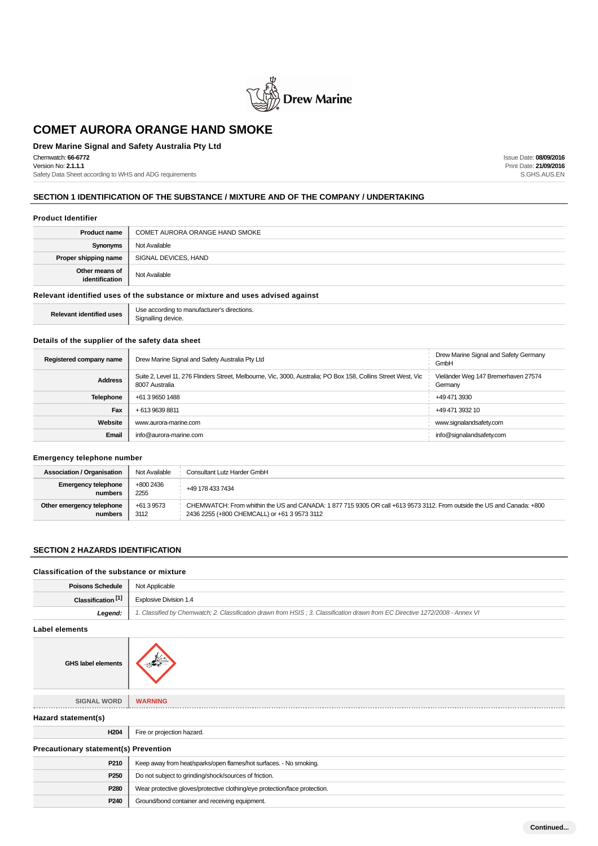

## **Drew Marine Signal and Safety Australia Pty Ltd**

Chemwatch: **66-6772** Version No: **2.1.1.1**

Safety Data Sheet according to WHS and ADG requirements

Issue Date: **08/09/2016** Print Date: **21/09/2016** S.GHS.AUS.EN

## **SECTION 1 IDENTIFICATION OF THE SUBSTANCE / MIXTURE AND OF THE COMPANY / UNDERTAKING**

#### **Product Identifier**

| <b>Product name</b>                                                           | COMET AURORA ORANGE HAND SMOKE |  |
|-------------------------------------------------------------------------------|--------------------------------|--|
| Synonyms                                                                      | Not Available                  |  |
| Proper shipping name                                                          | SIGNAL DEVICES, HAND           |  |
| Other means of<br>identification                                              | Not Available                  |  |
| Relevant identified uses of the substance or mixture and uses advised against |                                |  |

**Relevant identified uses** Use according to manufacturer's directions. Signalling device.

#### **Details of the supplier of the safety data sheet**

| Registered company name | Drew Marine Signal and Safety Australia Pty Ltd                                                                                 | Drew Marine Signal and Safety Germany<br>GmbH  |
|-------------------------|---------------------------------------------------------------------------------------------------------------------------------|------------------------------------------------|
| <b>Address</b>          | Suite 2, Level 11, 276 Flinders Street, Melbourne, Vic, 3000, Australia; PO Box 158, Collins Street West, Vic<br>8007 Australia | Vieländer Weg 147 Bremerhaven 27574<br>Germany |
| Telephone               | +61 3 9650 1488                                                                                                                 | +49 471 3930                                   |
| Fax                     | +61396398811                                                                                                                    | +49 471 3932 10                                |
| Website                 | www.aurora-marine.com                                                                                                           | www.signalandsafety.com                        |
| Email                   | info@aurora-marine.com                                                                                                          | info@signalandsafety.com                       |

## **Emergency telephone number**

| <b>Association / Organisation</b>     | Not Available      | Consultant Lutz Harder GmbH                                                                                                                                           |
|---------------------------------------|--------------------|-----------------------------------------------------------------------------------------------------------------------------------------------------------------------|
| <b>Emergency telephone</b><br>numbers | +800 2436<br>2255  | +49 178 433 7434                                                                                                                                                      |
| Other emergency telephone<br>numbers  | +61 3 9573<br>3112 | CHEMWATCH: From whithin the US and CANADA: 1877 715 9305 OR call +613 9573 3112. From outside the US and Canada: +800<br>2436 2255 (+800 CHEMCALL) or +61 3 9573 3112 |

#### **SECTION 2 HAZARDS IDENTIFICATION**

| Classification of the substance or mixture   |                                                                                                                               |  |
|----------------------------------------------|-------------------------------------------------------------------------------------------------------------------------------|--|
| <b>Poisons Schedule</b>                      | Not Applicable                                                                                                                |  |
| Classification <sup>[1]</sup>                | Explosive Division 1.4                                                                                                        |  |
| Legend:                                      | 1. Classified by Chemwatch; 2. Classification drawn from HSIS; 3. Classification drawn from EC Directive 1272/2008 - Annex VI |  |
| <b>Label elements</b>                        |                                                                                                                               |  |
| <b>GHS label elements</b>                    |                                                                                                                               |  |
| <b>SIGNAL WORD</b>                           | <b>WARNING</b>                                                                                                                |  |
| Hazard statement(s)                          |                                                                                                                               |  |
| H <sub>204</sub>                             | Fire or projection hazard.                                                                                                    |  |
| <b>Precautionary statement(s) Prevention</b> |                                                                                                                               |  |
| P210                                         | Keep away from heat/sparks/open flames/hot surfaces. - No smoking.                                                            |  |
| P <sub>250</sub>                             | Do not subject to grinding/shock/sources of friction.                                                                         |  |
| P280                                         | Wear protective gloves/protective clothing/eye protection/face protection.                                                    |  |
| P240                                         | Ground/bond container and receiving equipment.                                                                                |  |
|                                              |                                                                                                                               |  |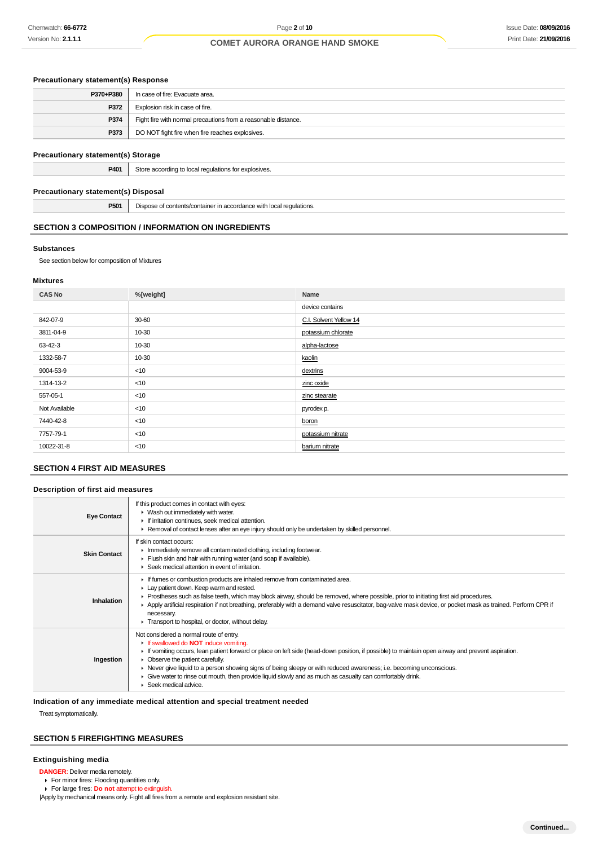## **Precautionary statement(s) Response**

| P370+P380 | In case of fire: Evacuate area.                                |
|-----------|----------------------------------------------------------------|
| P372      | Explosion risk in case of fire.                                |
| P374      | Fight fire with normal precautions from a reasonable distance. |
| P373      | DO NOT fight fire when fire reaches explosives.                |
|           |                                                                |

#### **Precautionary statement(s) Storage**

|  | <b>P401</b> Store according to local regulations for explosives. |
|--|------------------------------------------------------------------|
|--|------------------------------------------------------------------|

#### **Precautionary statement(s) Disposal**

**P501** Dispose of contents/container in accordance with local regulations.

#### **SECTION 3 COMPOSITION / INFORMATION ON INGREDIENTS**

#### **Substances**

See section below for composition of Mixtures

#### **Mixtures**

| <b>CAS No</b> | %[weight] | Name                   |
|---------------|-----------|------------------------|
|               |           | device contains        |
| 842-07-9      | 30-60     | C.I. Solvent Yellow 14 |
| 3811-04-9     | 10-30     | potassium chlorate     |
| 63-42-3       | 10-30     | alpha-lactose          |
| 1332-58-7     | 10-30     | kaolin                 |
| 9004-53-9     | $<$ 10    | dextrins               |
| 1314-13-2     | < 10      | zinc oxide             |
| 557-05-1      | $<$ 10    | zinc stearate          |
| Not Available | < 10      | pyrodex p.             |
| 7440-42-8     | $<$ 10    | boron                  |
| 7757-79-1     | $<$ 10    | potassium nitrate      |
| 10022-31-8    | $<$ 10    | barium nitrate         |
|               |           |                        |

## **SECTION 4 FIRST AID MEASURES**

#### **Description of first aid measures**

| <b>Eye Contact</b>  | If this product comes in contact with eyes:<br>• Wash out immediately with water.<br>If irritation continues, seek medical attention.<br>► Removal of contact lenses after an eye injury should only be undertaken by skilled personnel.                                                                                                                                                                                                                                                                                                      |
|---------------------|-----------------------------------------------------------------------------------------------------------------------------------------------------------------------------------------------------------------------------------------------------------------------------------------------------------------------------------------------------------------------------------------------------------------------------------------------------------------------------------------------------------------------------------------------|
| <b>Skin Contact</b> | If skin contact occurs:<br>Inmediately remove all contaminated clothing, including footwear.<br>Flush skin and hair with running water (and soap if available).<br>▶ Seek medical attention in event of irritation.                                                                                                                                                                                                                                                                                                                           |
| Inhalation          | If fumes or combustion products are inhaled remove from contaminated area.<br>Lay patient down. Keep warm and rested.<br>► Prostheses such as false teeth, which may block airway, should be removed, where possible, prior to initiating first aid procedures.<br>▶ Apply artificial respiration if not breathing, preferably with a demand valve resuscitator, bag-valve mask device, or pocket mask as trained. Perform CPR if<br>necessary.<br>Transport to hospital, or doctor, without delay.                                           |
| Ingestion           | Not considered a normal route of entry.<br>If swallowed do <b>NOT</b> induce vomiting.<br>If vomiting occurs, lean patient forward or place on left side (head-down position, if possible) to maintain open airway and prevent aspiration.<br>• Observe the patient carefully.<br>► Never give liquid to a person showing signs of being sleepy or with reduced awareness; i.e. becoming unconscious.<br>► Give water to rinse out mouth, then provide liquid slowly and as much as casualty can comfortably drink.<br>▶ Seek medical advice. |

**Indication of any immediate medical attention and special treatment needed**

Treat symptomatically.

#### **SECTION 5 FIREFIGHTING MEASURES**

#### **Extinguishing media**

- **DANGER**: Deliver media remotely.
- For minor fires: Flooding quantities only.
- For large fires: **Do not** attempt to extinguish.
- |Apply by mechanical means only. Fight all fires from a remote and explosion resistant site.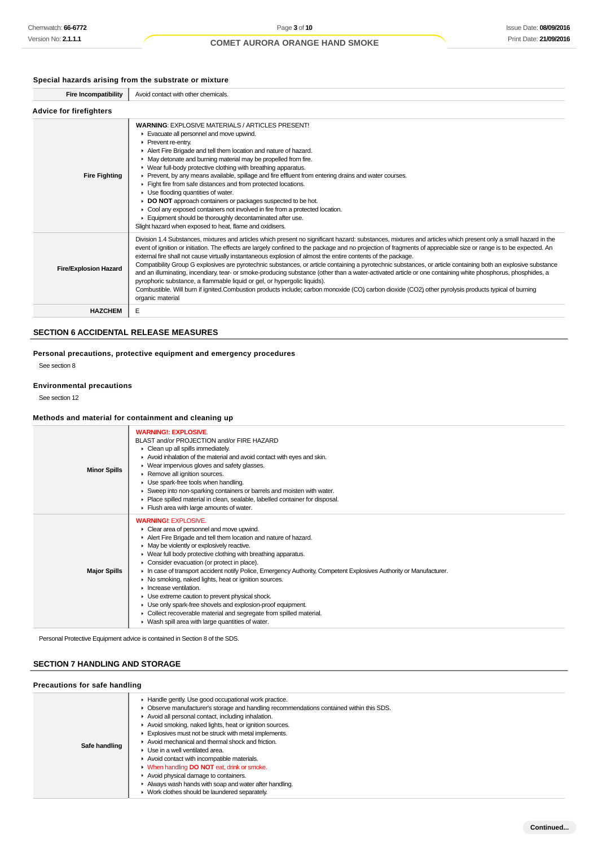## **Special hazards arising from the substrate or mixture**

| <b>Fire Incompatibility</b>    | Avoid contact with other chemicals.                                                                                                                                                                                                                                                                                                                                                                                                                                                                                                                                                                                                                                                                                                                                                                                                                                                                                                                                                                                                            |  |  |
|--------------------------------|------------------------------------------------------------------------------------------------------------------------------------------------------------------------------------------------------------------------------------------------------------------------------------------------------------------------------------------------------------------------------------------------------------------------------------------------------------------------------------------------------------------------------------------------------------------------------------------------------------------------------------------------------------------------------------------------------------------------------------------------------------------------------------------------------------------------------------------------------------------------------------------------------------------------------------------------------------------------------------------------------------------------------------------------|--|--|
| <b>Advice for firefighters</b> |                                                                                                                                                                                                                                                                                                                                                                                                                                                                                                                                                                                                                                                                                                                                                                                                                                                                                                                                                                                                                                                |  |  |
| <b>Fire Fighting</b>           | <b>WARNING: EXPLOSIVE MATERIALS / ARTICLES PRESENT!</b><br>Evacuate all personnel and move upwind.<br>Prevent re-entry.<br>Alert Fire Brigade and tell them location and nature of hazard.<br>• May detonate and burning material may be propelled from fire.<br>• Wear full-body protective clothing with breathing apparatus.<br>▶ Prevent, by any means available, spillage and fire effluent from entering drains and water courses.<br>Fight fire from safe distances and from protected locations.<br>$\blacktriangleright$ Use flooding quantities of water.<br><b>DO NOT</b> approach containers or packages suspected to be hot.<br>• Cool any exposed containers not involved in fire from a protected location.<br>Equipment should be thoroughly decontaminated after use.<br>Slight hazard when exposed to heat, flame and oxidisers.                                                                                                                                                                                             |  |  |
| <b>Fire/Explosion Hazard</b>   | Division 1.4 Substances, mixtures and articles which present no significant hazard: substances, mixtures and articles which present only a small hazard in the<br>event of ignition or initiation. The effects are largely confined to the package and no projection of fragments of appreciable size or range is to be expected. An<br>external fire shall not cause virtually instantaneous explosion of almost the entire contents of the package.<br>Compatibility Group G explosives are pyrotechnic substances, or article containing a pyrotechnic substances, or article containing both an explosive substance<br>and an illuminating, incendiary, tear- or smoke-producing substance (other than a water-activated article or one containing white phosphorus, phosphides, a<br>pyrophoric substance, a flammable liquid or gel, or hypergolic liquids).<br>Combustible. Will burn if ignited.Combustion products include; carbon monoxide (CO) carbon dioxide (CO2) other pyrolysis products typical of burning<br>organic material |  |  |
| <b>HAZCHEM</b>                 | E                                                                                                                                                                                                                                                                                                                                                                                                                                                                                                                                                                                                                                                                                                                                                                                                                                                                                                                                                                                                                                              |  |  |

#### **SECTION 6 ACCIDENTAL RELEASE MEASURES**

**Personal precautions, protective equipment and emergency procedures** See section 8

# **Environmental precautions**

See section 12

#### **Methods and material for containment and cleaning up**

| <b>Minor Spills</b> | <b>WARNING!: EXPLOSIVE.</b><br>BLAST and/or PROJECTION and/or FIRE HAZARD<br>$\triangleright$ Clean up all spills immediately.<br>Avoid inhalation of the material and avoid contact with eyes and skin.<br>• Wear impervious gloves and safety glasses.<br>Remove all ignition sources.<br>Use spark-free tools when handling.<br>Sweep into non-sparking containers or barrels and moisten with water.<br>• Place spilled material in clean, sealable, labelled container for disposal.<br>Flush area with large amounts of water.                                                                                                                                                                                                                                                                     |
|---------------------|----------------------------------------------------------------------------------------------------------------------------------------------------------------------------------------------------------------------------------------------------------------------------------------------------------------------------------------------------------------------------------------------------------------------------------------------------------------------------------------------------------------------------------------------------------------------------------------------------------------------------------------------------------------------------------------------------------------------------------------------------------------------------------------------------------|
| <b>Major Spills</b> | <b>WARNING!: EXPLOSIVE.</b><br>• Clear area of personnel and move upwind.<br>Alert Fire Brigade and tell them location and nature of hazard.<br>$\blacktriangleright$ May be violently or explosively reactive.<br>▶ Wear full body protective clothing with breathing apparatus.<br>• Consider evacuation (or protect in place).<br>In case of transport accident notify Police, Emergency Authority, Competent Explosives Authority or Manufacturer.<br>▶ No smoking, naked lights, heat or ignition sources.<br>Increase ventilation.<br>• Use extreme caution to prevent physical shock.<br>Use only spark-free shovels and explosion-proof equipment.<br>Collect recoverable material and segregate from spilled material.<br>$\blacktriangleright$ Wash spill area with large quantities of water. |

Personal Protective Equipment advice is contained in Section 8 of the SDS.

## **SECTION 7 HANDLING AND STORAGE**

## **Precautions for safe handling**

| Safe handling |  |
|---------------|--|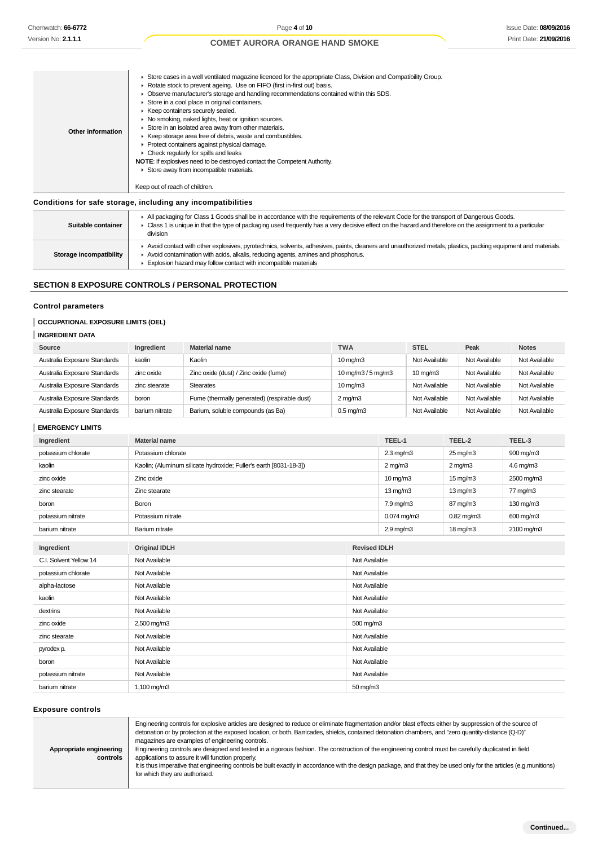| Store in an isolated area away from other materials.<br>Other information<br>EXTER Keep storage area free of debris, waste and combustibles.<br>▶ Protect containers against physical damage.<br>$\triangleright$ Check regularly for spills and leaks<br><b>NOTE:</b> If explosives need to be destroyed contact the Competent Authority.<br>Store away from incompatible materials.<br>Keep out of reach of children. |  | ► Store cases in a well ventilated magazine licenced for the appropriate Class, Division and Compatibility Group.<br>▶ Rotate stock to prevent ageing. Use on FIFO (first in-first out) basis.<br>▶ Observe manufacturer's storage and handling recommendations contained within this SDS.<br>Store in a cool place in original containers.<br>▶ Keep containers securely sealed.<br>• No smoking, naked lights, heat or ignition sources. |
|-------------------------------------------------------------------------------------------------------------------------------------------------------------------------------------------------------------------------------------------------------------------------------------------------------------------------------------------------------------------------------------------------------------------------|--|--------------------------------------------------------------------------------------------------------------------------------------------------------------------------------------------------------------------------------------------------------------------------------------------------------------------------------------------------------------------------------------------------------------------------------------------|
|-------------------------------------------------------------------------------------------------------------------------------------------------------------------------------------------------------------------------------------------------------------------------------------------------------------------------------------------------------------------------------------------------------------------------|--|--------------------------------------------------------------------------------------------------------------------------------------------------------------------------------------------------------------------------------------------------------------------------------------------------------------------------------------------------------------------------------------------------------------------------------------------|

## **Conditions for safe storage, including any incompatibilities**

| Suitable container      | All packaging for Class 1 Goods shall be in accordance with the requirements of the relevant Code for the transport of Dangerous Goods.<br>Class 1 is unique in that the type of packaging used frequently has a very decisive effect on the hazard and therefore on the assignment to a particular<br>division     |
|-------------------------|---------------------------------------------------------------------------------------------------------------------------------------------------------------------------------------------------------------------------------------------------------------------------------------------------------------------|
| Storage incompatibility | Avoid contact with other explosives, pyrotechnics, solvents, adhesives, paints, cleaners and unauthorized metals, plastics, packing equipment and materials.<br>Avoid contamination with acids, alkalis, reducing agents, amines and phosphorus.<br>Explosion hazard may follow contact with incompatible materials |

## **SECTION 8 EXPOSURE CONTROLS / PERSONAL PROTECTION**

## **Control parameters**

## **OCCUPATIONAL EXPOSURE LIMITS (OEL)**

| Source                       | Ingredient     | <b>Material name</b>                         | <b>TWA</b>                                     | <b>STEL</b>       | Peak          | <b>Notes</b>  |
|------------------------------|----------------|----------------------------------------------|------------------------------------------------|-------------------|---------------|---------------|
| Australia Exposure Standards | kaolin         | Kaolin                                       | $10 \text{ mg/m}$                              | Not Available     | Not Available | Not Available |
| Australia Exposure Standards | zinc oxide     | Zinc oxide (dust) / Zinc oxide (fume)        | $10 \,\mathrm{mq/m}$ $3/5 \,\mathrm{mq/m}$ $3$ | $10 \text{ mg/m}$ | Not Available | Not Available |
| Australia Exposure Standards | zinc stearate  | <b>Stearates</b>                             | $10 \text{ mg/m}$                              | Not Available     | Not Available | Not Available |
| Australia Exposure Standards | boron          | Fume (thermally generated) (respirable dust) | $2 \text{ mg/m}$                               | Not Available     | Not Available | Not Available |
| Australia Exposure Standards | barium nitrate | Barium, soluble compounds (as Ba)            | $0.5 \,\mathrm{mq/m}$ 3                        | Not Available     | Not Available | Not Available |

## **EMERGENCY LIMITS**

| Chemwatch: 66-6772                                                                               |                                | Page 4 of 10                                                                                                                                                                                                                                                                                                                                                                                                                                                                                                                                                                                                                                                                                                                                                                       |                   |                        |                       |                      | <b>Issue Date: 08/09/20</b> |
|--------------------------------------------------------------------------------------------------|--------------------------------|------------------------------------------------------------------------------------------------------------------------------------------------------------------------------------------------------------------------------------------------------------------------------------------------------------------------------------------------------------------------------------------------------------------------------------------------------------------------------------------------------------------------------------------------------------------------------------------------------------------------------------------------------------------------------------------------------------------------------------------------------------------------------------|-------------------|------------------------|-----------------------|----------------------|-----------------------------|
| Version No: <b>2.1.1.1</b>                                                                       |                                | <b>COMET AURORA ORANGE HAND SMOKE</b>                                                                                                                                                                                                                                                                                                                                                                                                                                                                                                                                                                                                                                                                                                                                              |                   |                        |                       |                      | Print Date: 21/09/20        |
| <b>Other information</b>                                                                         | Keep out of reach of children. | ► Store cases in a well ventilated magazine licenced for the appropriate Class, Division and Compatibility Group.<br>▶ Rotate stock to prevent ageing. Use on FIFO (first in-first out) basis.<br>▶ Observe manufacturer's storage and handling recommendations contained within this SDS.<br>Store in a cool place in original containers.<br>▶ Keep containers securely sealed.<br>• No smoking, naked lights, heat or ignition sources.<br>Store in an isolated area away from other materials.<br>Exteep storage area free of debris, waste and combustibles.<br>Protect containers against physical damage.<br>• Check regularly for spills and leaks<br>NOTE: If explosives need to be destroyed contact the Competent Authority.<br>Store away from incompatible materials. |                   |                        |                       |                      |                             |
|                                                                                                  |                                |                                                                                                                                                                                                                                                                                                                                                                                                                                                                                                                                                                                                                                                                                                                                                                                    |                   |                        |                       |                      |                             |
| Conditions for safe storage, including any incompatibilities<br>Suitable container               | division                       | All packaging for Class 1 Goods shall be in accordance with the requirements of the relevant Code for the transport of Dangerous Goods.<br>► Class 1 is unique in that the type of packaging used frequently has a very decisive effect on the hazard and therefore on the assignment to a particular<br>Avoid contact with other explosives, pyrotechnics, solvents, adhesives, paints, cleaners and unauthorized metals, plastics, packing equipment and materials.                                                                                                                                                                                                                                                                                                              |                   |                        |                       |                      |                             |
| Storage incompatibility                                                                          |                                | Avoid contamination with acids, alkalis, reducing agents, amines and phosphorus.                                                                                                                                                                                                                                                                                                                                                                                                                                                                                                                                                                                                                                                                                                   |                   |                        |                       |                      |                             |
|                                                                                                  |                                | Explosion hazard may follow contact with incompatible materials                                                                                                                                                                                                                                                                                                                                                                                                                                                                                                                                                                                                                                                                                                                    |                   |                        |                       |                      |                             |
|                                                                                                  |                                | <b>SECTION 8 EXPOSURE CONTROLS / PERSONAL PROTECTION</b>                                                                                                                                                                                                                                                                                                                                                                                                                                                                                                                                                                                                                                                                                                                           |                   |                        |                       |                      |                             |
| <b>Control parameters</b><br><b>OCCUPATIONAL EXPOSURE LIMITS (OEL)</b><br><b>INGREDIENT DATA</b> |                                |                                                                                                                                                                                                                                                                                                                                                                                                                                                                                                                                                                                                                                                                                                                                                                                    |                   |                        |                       |                      |                             |
| Source                                                                                           | Ingredient                     | <b>Material name</b>                                                                                                                                                                                                                                                                                                                                                                                                                                                                                                                                                                                                                                                                                                                                                               | <b>TWA</b>        |                        | <b>STEL</b>           | Peak                 | <b>Notes</b>                |
| Australia Exposure Standards                                                                     | kaolin                         | Kaolin                                                                                                                                                                                                                                                                                                                                                                                                                                                                                                                                                                                                                                                                                                                                                                             | $10 \text{ mg/m}$ |                        | Not Available         | Not Available        | Not Available               |
| Australia Exposure Standards                                                                     | zinc oxide                     | Zinc oxide (dust) / Zinc oxide (fume)                                                                                                                                                                                                                                                                                                                                                                                                                                                                                                                                                                                                                                                                                                                                              |                   | 10 mg/m $3/5$ mg/m $3$ | $10 \,\mathrm{mg/m}$  | Not Available        | Not Available               |
| Australia Exposure Standards                                                                     | zinc stearate                  | <b>Stearates</b>                                                                                                                                                                                                                                                                                                                                                                                                                                                                                                                                                                                                                                                                                                                                                                   | $10 \text{ mg/m}$ |                        | Not Available         | Not Available        | Not Available               |
| Australia Exposure Standards                                                                     | boron                          | Fume (thermally generated) (respirable dust)                                                                                                                                                                                                                                                                                                                                                                                                                                                                                                                                                                                                                                                                                                                                       | $2 \text{ mg/m}$  |                        | Not Available         | Not Available        | Not Available               |
| Australia Exposure Standards                                                                     | barium nitrate                 | Barium, soluble compounds (as Ba)                                                                                                                                                                                                                                                                                                                                                                                                                                                                                                                                                                                                                                                                                                                                                  | $0.5$ mg/m $3$    |                        | Not Available         | Not Available        | Not Available               |
| <b>EMERGENCY LIMITS</b>                                                                          |                                |                                                                                                                                                                                                                                                                                                                                                                                                                                                                                                                                                                                                                                                                                                                                                                                    |                   |                        |                       |                      |                             |
| Ingredient                                                                                       | <b>Material name</b>           |                                                                                                                                                                                                                                                                                                                                                                                                                                                                                                                                                                                                                                                                                                                                                                                    |                   |                        | TEEL-1                | TEEL-2               | TEEL-3                      |
| potassium chlorate                                                                               | Potassium chlorate             |                                                                                                                                                                                                                                                                                                                                                                                                                                                                                                                                                                                                                                                                                                                                                                                    |                   | $2.3 \text{ mg/m}$     |                       | $25 \text{ mg/m}$    | 900 mg/m3                   |
| kaolin                                                                                           |                                | Kaolin; (Aluminum silicate hydroxide; Fuller's earth [8031-18-3])                                                                                                                                                                                                                                                                                                                                                                                                                                                                                                                                                                                                                                                                                                                  |                   | $2 \text{ mg/m}$       |                       | $2 \text{ mg/m}$     | 4.6 mg/m $3$                |
| zinc oxide                                                                                       | Zinc oxide                     |                                                                                                                                                                                                                                                                                                                                                                                                                                                                                                                                                                                                                                                                                                                                                                                    |                   | $10 \text{ mg/m}$      |                       | $15 \,\mathrm{mg/m}$ | 2500 mg/m3                  |
| zinc stearate                                                                                    | Zinc stearate                  |                                                                                                                                                                                                                                                                                                                                                                                                                                                                                                                                                                                                                                                                                                                                                                                    |                   | $13 \text{ mg/m}$      |                       | $13 \text{ mg/m}$    | 77 mg/m3                    |
| boron                                                                                            | Boron                          |                                                                                                                                                                                                                                                                                                                                                                                                                                                                                                                                                                                                                                                                                                                                                                                    |                   | $7.9 \text{ mg/m}$     |                       | 87 mg/m3             | $130 \text{ mg/m}$          |
| potassium nitrate                                                                                | Potassium nitrate              |                                                                                                                                                                                                                                                                                                                                                                                                                                                                                                                                                                                                                                                                                                                                                                                    |                   |                        | $0.074$ mg/m3         | 0.82 mg/m3           | 600 mg/m3                   |
| barium nitrate                                                                                   | Barium nitrate                 |                                                                                                                                                                                                                                                                                                                                                                                                                                                                                                                                                                                                                                                                                                                                                                                    |                   |                        | $2.9 \,\mathrm{mg/m}$ | $18 \text{ mg/m}$    | 2100 mg/m3                  |
| Ingredient                                                                                       | <b>Original IDLH</b>           |                                                                                                                                                                                                                                                                                                                                                                                                                                                                                                                                                                                                                                                                                                                                                                                    |                   | <b>Revised IDLH</b>    |                       |                      |                             |
| C.I. Solvent Yellow 14                                                                           | Not Available                  |                                                                                                                                                                                                                                                                                                                                                                                                                                                                                                                                                                                                                                                                                                                                                                                    |                   | Not Available          |                       |                      |                             |
| potassium chlorate                                                                               | Not Available                  |                                                                                                                                                                                                                                                                                                                                                                                                                                                                                                                                                                                                                                                                                                                                                                                    |                   | Not Available          |                       |                      |                             |
| alpha-lactose                                                                                    | Not Available                  |                                                                                                                                                                                                                                                                                                                                                                                                                                                                                                                                                                                                                                                                                                                                                                                    |                   | Not Available          |                       |                      |                             |
| kaolin                                                                                           | Not Available                  |                                                                                                                                                                                                                                                                                                                                                                                                                                                                                                                                                                                                                                                                                                                                                                                    |                   | Not Available          |                       |                      |                             |
| dextrins                                                                                         | Not Available                  |                                                                                                                                                                                                                                                                                                                                                                                                                                                                                                                                                                                                                                                                                                                                                                                    |                   | Not Available          |                       |                      |                             |
| zinc oxide                                                                                       | 2,500 mg/m3                    |                                                                                                                                                                                                                                                                                                                                                                                                                                                                                                                                                                                                                                                                                                                                                                                    |                   | 500 mg/m3              |                       |                      |                             |
| zinc stearate                                                                                    | Not Available                  |                                                                                                                                                                                                                                                                                                                                                                                                                                                                                                                                                                                                                                                                                                                                                                                    |                   | Not Available          |                       |                      |                             |
| pyrodex p.                                                                                       | Not Available                  |                                                                                                                                                                                                                                                                                                                                                                                                                                                                                                                                                                                                                                                                                                                                                                                    |                   | Not Available          |                       |                      |                             |
| boron                                                                                            | Not Available                  |                                                                                                                                                                                                                                                                                                                                                                                                                                                                                                                                                                                                                                                                                                                                                                                    |                   | Not Available          |                       |                      |                             |
| potassium nitrate                                                                                | Not Available                  |                                                                                                                                                                                                                                                                                                                                                                                                                                                                                                                                                                                                                                                                                                                                                                                    |                   | Not Available          |                       |                      |                             |
| barium nitrate                                                                                   | 1,100 mg/m3                    |                                                                                                                                                                                                                                                                                                                                                                                                                                                                                                                                                                                                                                                                                                                                                                                    |                   | $50 \,\mathrm{mg/m}$   |                       |                      |                             |
| <b>Exposure controls</b>                                                                         |                                |                                                                                                                                                                                                                                                                                                                                                                                                                                                                                                                                                                                                                                                                                                                                                                                    |                   |                        |                       |                      |                             |
| Appropriate engineering<br>controls                                                              | for which they are authorised. | Engineering controls for explosive articles are designed to reduce or eliminate fragmentation and/or blast effects either by suppression of the source of<br>detonation or by protection at the exposed location, or both. Barricades, shields, contained detonation chambers, and "zero quantity-distance (Q-D)"<br>magazines are examples of engineering controls.<br>Engineering controls are designed and tested in a rigorous fashion. The construction of the engineering control must be carefully duplicated in field<br>applications to assure it will function properly.<br>It is thus imperative that engineering controls be built exactly in accordance with the design package, and that they be used only for the articles (e.g.munitions)                          |                   |                        |                       |                      |                             |

## **Exposure controls**

| Appropriate engineering<br>controls | Engineering controls for explosive articles are designed to reduce or eliminate fragmentation and/or blast effects either by suppression of the source of<br>detonation or by protection at the exposed location, or both. Barricades, shields, contained detonation chambers, and "zero quantity-distance (Q-D)"<br>magazines are examples of engineering controls.<br>Engineering controls are designed and tested in a rigorous fashion. The construction of the engineering control must be carefully duplicated in field<br>applications to assure it will function properly.<br>It is thus imperative that engineering controls be built exactly in accordance with the design package, and that they be used only for the articles (e.g.munitions)<br>for which they are authorised. |
|-------------------------------------|---------------------------------------------------------------------------------------------------------------------------------------------------------------------------------------------------------------------------------------------------------------------------------------------------------------------------------------------------------------------------------------------------------------------------------------------------------------------------------------------------------------------------------------------------------------------------------------------------------------------------------------------------------------------------------------------------------------------------------------------------------------------------------------------|
|-------------------------------------|---------------------------------------------------------------------------------------------------------------------------------------------------------------------------------------------------------------------------------------------------------------------------------------------------------------------------------------------------------------------------------------------------------------------------------------------------------------------------------------------------------------------------------------------------------------------------------------------------------------------------------------------------------------------------------------------------------------------------------------------------------------------------------------------|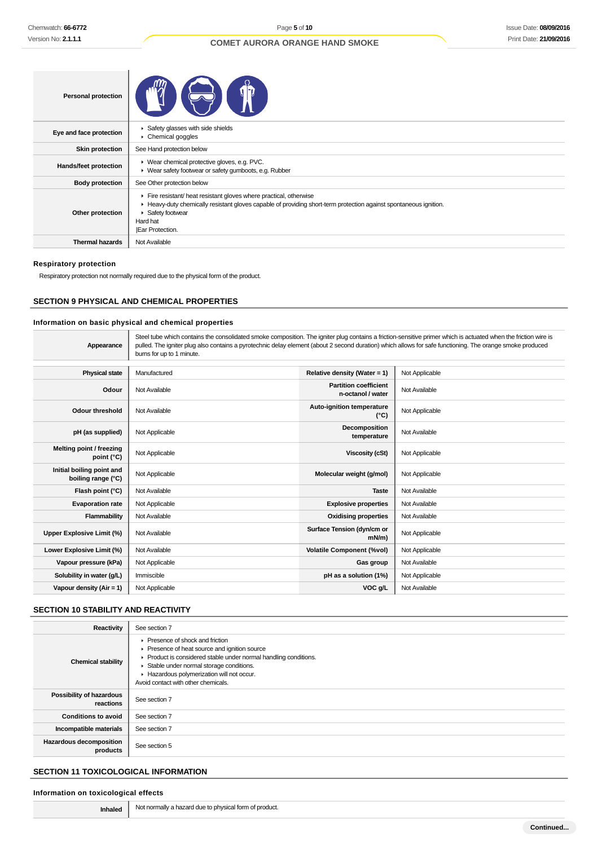| <b>Personal protection</b> |                                                                                                                                                                                                                                                  |
|----------------------------|--------------------------------------------------------------------------------------------------------------------------------------------------------------------------------------------------------------------------------------------------|
| Eye and face protection    | ▶ Safety glasses with side shields<br>$\triangleright$ Chemical goggles                                                                                                                                                                          |
| <b>Skin protection</b>     | See Hand protection below                                                                                                                                                                                                                        |
| Hands/feet protection      | ▶ Wear chemical protective gloves, e.g. PVC.<br>• Wear safety footwear or safety gumboots, e.g. Rubber                                                                                                                                           |
| <b>Body protection</b>     | See Other protection below                                                                                                                                                                                                                       |
| Other protection           | Fire resistant/ heat resistant gloves where practical, otherwise<br>► Heavy-duty chemically resistant gloves capable of providing short-term protection against spontaneous ignition.<br>▶ Safety footwear<br>Hard hat<br><b>Ear Protection.</b> |
| <b>Thermal hazards</b>     | Not Available                                                                                                                                                                                                                                    |

#### **Respiratory protection**

Respiratory protection not normally required due to the physical form of the product.

## **SECTION 9 PHYSICAL AND CHEMICAL PROPERTIES**

## **Information on basic physical and chemical properties**

| Appearance                                      | Steel tube which contains the consolidated smoke composition. The igniter plug contains a friction-sensitive primer which is actuated when the friction wire is<br>pulled. The igniter plug also contains a pyrotechnic delay element (about 2 second duration) which allows for safe functioning. The orange smoke produced<br>burns for up to 1 minute. |                                                   |                |  |
|-------------------------------------------------|-----------------------------------------------------------------------------------------------------------------------------------------------------------------------------------------------------------------------------------------------------------------------------------------------------------------------------------------------------------|---------------------------------------------------|----------------|--|
|                                                 |                                                                                                                                                                                                                                                                                                                                                           |                                                   |                |  |
| <b>Physical state</b>                           | Manufactured                                                                                                                                                                                                                                                                                                                                              | Relative density (Water = $1$ )                   | Not Applicable |  |
| Odour                                           | Not Available                                                                                                                                                                                                                                                                                                                                             | <b>Partition coefficient</b><br>n-octanol / water | Not Available  |  |
| <b>Odour threshold</b>                          | Not Available                                                                                                                                                                                                                                                                                                                                             | <b>Auto-ignition temperature</b><br>$(^{\circ}C)$ | Not Applicable |  |
| pH (as supplied)                                | Not Applicable                                                                                                                                                                                                                                                                                                                                            | Decomposition<br>temperature                      | Not Available  |  |
| Melting point / freezing<br>point (°C)          | Not Applicable                                                                                                                                                                                                                                                                                                                                            | Viscosity (cSt)                                   | Not Applicable |  |
| Initial boiling point and<br>boiling range (°C) | Not Applicable                                                                                                                                                                                                                                                                                                                                            | Molecular weight (g/mol)                          | Not Applicable |  |
| Flash point (°C)                                | Not Available                                                                                                                                                                                                                                                                                                                                             | <b>Taste</b>                                      | Not Available  |  |
| <b>Evaporation rate</b>                         | Not Applicable                                                                                                                                                                                                                                                                                                                                            | <b>Explosive properties</b>                       | Not Available  |  |
| Flammability                                    | Not Available                                                                                                                                                                                                                                                                                                                                             | <b>Oxidising properties</b>                       | Not Available  |  |
| <b>Upper Explosive Limit (%)</b>                | Not Available                                                                                                                                                                                                                                                                                                                                             | Surface Tension (dyn/cm or<br>$mN/m$ )            | Not Applicable |  |
| Lower Explosive Limit (%)                       | Not Available                                                                                                                                                                                                                                                                                                                                             | <b>Volatile Component (%vol)</b>                  | Not Applicable |  |
| Vapour pressure (kPa)                           | Not Applicable                                                                                                                                                                                                                                                                                                                                            | Gas group                                         | Not Available  |  |
| Solubility in water (g/L)                       | Immiscible                                                                                                                                                                                                                                                                                                                                                | pH as a solution (1%)                             | Not Applicable |  |
| Vapour density (Air = 1)                        | Not Applicable                                                                                                                                                                                                                                                                                                                                            | VOC g/L                                           | Not Available  |  |

## **SECTION 10 STABILITY AND REACTIVITY**

| Reactivity                            | See section 7                                                                                                                                                                                                                                                                                           |
|---------------------------------------|---------------------------------------------------------------------------------------------------------------------------------------------------------------------------------------------------------------------------------------------------------------------------------------------------------|
| <b>Chemical stability</b>             | $\blacktriangleright$ Presence of shock and friction<br>▶ Presence of heat source and ignition source<br>▶ Product is considered stable under normal handling conditions.<br>Stable under normal storage conditions.<br>Hazardous polymerization will not occur.<br>Avoid contact with other chemicals. |
| Possibility of hazardous<br>reactions | See section 7                                                                                                                                                                                                                                                                                           |
| <b>Conditions to avoid</b>            | See section 7                                                                                                                                                                                                                                                                                           |
| Incompatible materials                | See section 7                                                                                                                                                                                                                                                                                           |
| Hazardous decomposition<br>products   | See section 5                                                                                                                                                                                                                                                                                           |

## **SECTION 11 TOXICOLOGICAL INFORMATION**

## **Information on toxicological effects**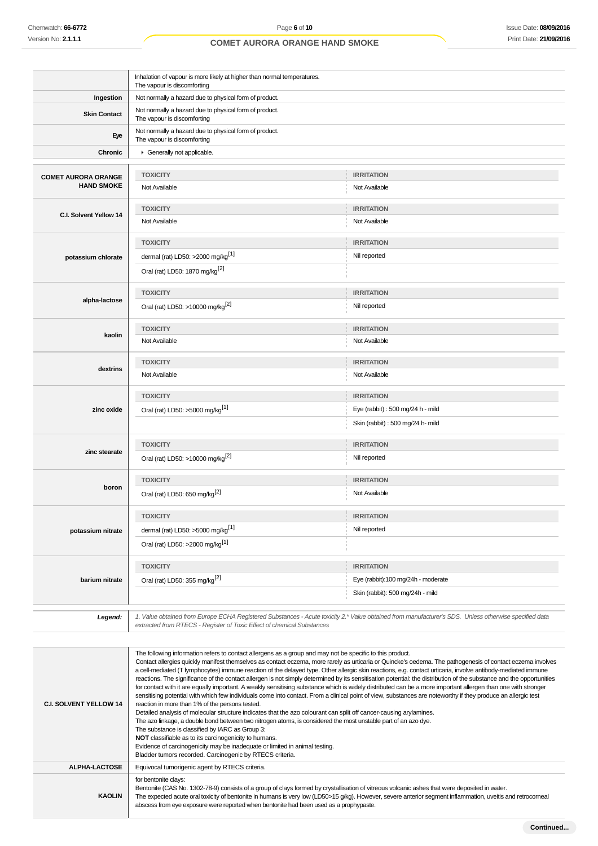|                            | Inhalation of vapour is more likely at higher than normal temperatures.<br>The vapour is discomforting |                                                                                                                                                       |  |  |  |
|----------------------------|--------------------------------------------------------------------------------------------------------|-------------------------------------------------------------------------------------------------------------------------------------------------------|--|--|--|
| Ingestion                  | Not normally a hazard due to physical form of product.                                                 |                                                                                                                                                       |  |  |  |
| <b>Skin Contact</b>        | Not normally a hazard due to physical form of product.<br>The vapour is discomforting                  |                                                                                                                                                       |  |  |  |
| Eye                        | Not normally a hazard due to physical form of product.<br>The vapour is discomforting                  |                                                                                                                                                       |  |  |  |
| Chronic                    | Generally not applicable.                                                                              |                                                                                                                                                       |  |  |  |
|                            |                                                                                                        |                                                                                                                                                       |  |  |  |
| <b>COMET AURORA ORANGE</b> | <b>TOXICITY</b>                                                                                        | <b>IRRITATION</b>                                                                                                                                     |  |  |  |
| <b>HAND SMOKE</b>          | Not Available                                                                                          | Not Available                                                                                                                                         |  |  |  |
|                            | <b>TOXICITY</b>                                                                                        | <b>IRRITATION</b>                                                                                                                                     |  |  |  |
| C.I. Solvent Yellow 14     | Not Available                                                                                          | Not Available                                                                                                                                         |  |  |  |
|                            |                                                                                                        |                                                                                                                                                       |  |  |  |
|                            | <b>TOXICITY</b>                                                                                        | <b>IRRITATION</b>                                                                                                                                     |  |  |  |
| potassium chlorate         | dermal (rat) LD50: >2000 mg/kg <sup>[1]</sup>                                                          | Nil reported                                                                                                                                          |  |  |  |
|                            | Oral (rat) LD50: 1870 mg/kg <sup>[2]</sup>                                                             |                                                                                                                                                       |  |  |  |
|                            | <b>TOXICITY</b>                                                                                        | <b>IRRITATION</b>                                                                                                                                     |  |  |  |
| alpha-lactose              | Oral (rat) LD50: >10000 mg/kg <sup>[2]</sup>                                                           | Nil reported                                                                                                                                          |  |  |  |
|                            | <b>TOXICITY</b>                                                                                        | <b>IRRITATION</b>                                                                                                                                     |  |  |  |
| kaolin                     | Not Available                                                                                          | Not Available                                                                                                                                         |  |  |  |
|                            | <b>TOXICITY</b>                                                                                        | <b>IRRITATION</b>                                                                                                                                     |  |  |  |
| dextrins                   | Not Available                                                                                          | Not Available                                                                                                                                         |  |  |  |
|                            | <b>TOXICITY</b>                                                                                        | <b>IRRITATION</b>                                                                                                                                     |  |  |  |
| zinc oxide                 | Oral (rat) LD50: >5000 mg/kg <sup>[1]</sup>                                                            | Eye (rabbit) : 500 mg/24 h - mild                                                                                                                     |  |  |  |
|                            |                                                                                                        | Skin (rabbit) : 500 mg/24 h- mild                                                                                                                     |  |  |  |
|                            | <b>TOXICITY</b>                                                                                        | <b>IRRITATION</b>                                                                                                                                     |  |  |  |
| zinc stearate              | Oral (rat) LD50: >10000 mg/kg <sup>[2]</sup>                                                           | Nil reported                                                                                                                                          |  |  |  |
|                            | <b>TOXICITY</b>                                                                                        | <b>IRRITATION</b>                                                                                                                                     |  |  |  |
| boron                      | Oral (rat) LD50: 650 mg/kg <sup>[2]</sup>                                                              | Not Available                                                                                                                                         |  |  |  |
|                            | <b>TOXICITY</b>                                                                                        | <b>IRRITATION</b>                                                                                                                                     |  |  |  |
| potassium nitrate          | dermal (rat) LD50: >5000 mg/kg <sup>[1]</sup>                                                          | Nil reported                                                                                                                                          |  |  |  |
|                            | Oral (rat) LD50: >2000 mg/kg <sup>[1]</sup>                                                            |                                                                                                                                                       |  |  |  |
|                            | <b>TOXICITY</b>                                                                                        | <b>IRRITATION</b>                                                                                                                                     |  |  |  |
| barium nitrate             | Oral (rat) LD50: 355 mg/kg <sup>[2]</sup>                                                              | Eye (rabbit):100 mg/24h - moderate                                                                                                                    |  |  |  |
|                            |                                                                                                        | Skin (rabbit): 500 mg/24h - mild                                                                                                                      |  |  |  |
|                            |                                                                                                        | 1. Value obtained from Europe ECHA Registered Substances - Acute toxicity 2.* Value obtained from manufacturer's SDS. Unless otherwise specified data |  |  |  |
| Legend:                    | extracted from RTECS - Register of Toxic Effect of chemical Substances                                 |                                                                                                                                                       |  |  |  |

| <b>C.I. SOLVENT YELLOW 14</b> | The following information refers to contact allergens as a group and may not be specific to this product.<br>Contact allergies quickly manifest themselves as contact eczema, more rarely as urticaria or Quincke's oedema. The pathogenesis of contact eczema involves<br>a cell-mediated (T lymphocytes) immune reaction of the delayed type. Other allergic skin reactions, e.g. contact urticaria, involve antibody-mediated immune<br>reactions. The significance of the contact allergen is not simply determined by its sensitisation potential: the distribution of the substance and the opportunities<br>for contact with it are equally important. A weakly sensitising substance which is widely distributed can be a more important allergen than one with stronger<br>sensitising potential with which few individuals come into contact. From a clinical point of view, substances are noteworthy if they produce an allergic test<br>reaction in more than 1% of the persons tested.<br>Detailed analysis of molecular structure indicates that the azo colourant can split off cancer-causing arylamines.<br>The azo linkage, a double bond between two nitrogen atoms, is considered the most unstable part of an azo dye.<br>The substance is classified by IARC as Group 3:<br>NOT classifiable as to its carcinogenicity to humans.<br>Evidence of carcinogenicity may be inadequate or limited in animal testing.<br>Bladder tumors recorded. Carcinogenic by RTECS criteria. |
|-------------------------------|-----------------------------------------------------------------------------------------------------------------------------------------------------------------------------------------------------------------------------------------------------------------------------------------------------------------------------------------------------------------------------------------------------------------------------------------------------------------------------------------------------------------------------------------------------------------------------------------------------------------------------------------------------------------------------------------------------------------------------------------------------------------------------------------------------------------------------------------------------------------------------------------------------------------------------------------------------------------------------------------------------------------------------------------------------------------------------------------------------------------------------------------------------------------------------------------------------------------------------------------------------------------------------------------------------------------------------------------------------------------------------------------------------------------------------------------------------------------------------------------------------|
| <b>ALPHA-LACTOSE</b>          | Equivocal tumorigenic agent by RTECS criteria.                                                                                                                                                                                                                                                                                                                                                                                                                                                                                                                                                                                                                                                                                                                                                                                                                                                                                                                                                                                                                                                                                                                                                                                                                                                                                                                                                                                                                                                      |
| <b>KAOLIN</b>                 | for bentonite clays:<br>Bentonite (CAS No. 1302-78-9) consists of a group of clays formed by crystallisation of vitreous volcanic ashes that were deposited in water.<br>The expected acute oral toxicity of bentonite in humans is very low (LD50>15 g/kg). However, severe anterior segment inflammation, uveitis and retrocorneal<br>abscess from eye exposure were reported when bentonite had been used as a prophypaste.                                                                                                                                                                                                                                                                                                                                                                                                                                                                                                                                                                                                                                                                                                                                                                                                                                                                                                                                                                                                                                                                      |
|                               |                                                                                                                                                                                                                                                                                                                                                                                                                                                                                                                                                                                                                                                                                                                                                                                                                                                                                                                                                                                                                                                                                                                                                                                                                                                                                                                                                                                                                                                                                                     |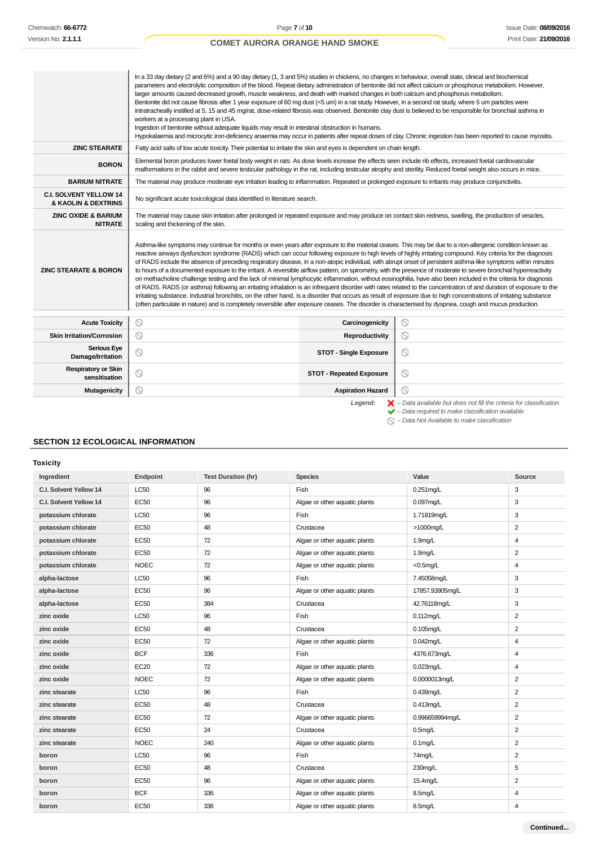$\overline{\phantom{a}}$ 

## **COMET AURORA ORANGE HAND SMOKE**

|                                                      | In a 33 day dietary (2 and 6%) and a 90 day dietary (1, 3 and 5%) studies in chickens, no changes in behaviour, overall state, clinical and biochemical<br>parameters and electrolytic composition of the blood. Repeat dietary administration of bentonite did not affect calcium or phosphorus metabolism. However,<br>larger amounts caused decreased growth, muscle weakness, and death with marked changes in both calcium and phosphorus metabolism.<br>Bentonite did not cause fibrosis after 1 year exposure of 60 mg dust (<5 um) in a rat study. However, in a second rat study, where 5 um particles were<br>intratracheally instilled at 5, 15 and 45 mg/rat, dose-related fibrosis was observed. Bentonite clay dust is believed to be responsible for bronchial asthma in<br>workers at a processing plant in USA.<br>Ingestion of bentonite without adequate liquids may result in intestinal obstruction in humans.<br>Hypokalaemia and microcytic iron-deficiency anaemia may occur in patients after repeat doses of clay. Chronic ingestion has been reported to cause myositis.                                                                                                                                                                                                                                     |                                 |                                                                                                                                                                                                                              |  |  |
|------------------------------------------------------|-----------------------------------------------------------------------------------------------------------------------------------------------------------------------------------------------------------------------------------------------------------------------------------------------------------------------------------------------------------------------------------------------------------------------------------------------------------------------------------------------------------------------------------------------------------------------------------------------------------------------------------------------------------------------------------------------------------------------------------------------------------------------------------------------------------------------------------------------------------------------------------------------------------------------------------------------------------------------------------------------------------------------------------------------------------------------------------------------------------------------------------------------------------------------------------------------------------------------------------------------------------------------------------------------------------------------------------------|---------------------------------|------------------------------------------------------------------------------------------------------------------------------------------------------------------------------------------------------------------------------|--|--|
| <b>ZINC STEARATE</b>                                 | Fatty acid salts of low acute toxicity. Their potential to irritate the skin and eyes is dependent on chain length.                                                                                                                                                                                                                                                                                                                                                                                                                                                                                                                                                                                                                                                                                                                                                                                                                                                                                                                                                                                                                                                                                                                                                                                                                     |                                 |                                                                                                                                                                                                                              |  |  |
| <b>BORON</b>                                         | Elemental boron produces lower foetal body weight in rats. As dose levels increase the effects seen include rib effects, increased foetal cardiovascular<br>malformations in the rabbit and severe testicular pathology in the rat, including testicular atrophy and sterility. Reduced foetal weight also occurs in mice.                                                                                                                                                                                                                                                                                                                                                                                                                                                                                                                                                                                                                                                                                                                                                                                                                                                                                                                                                                                                              |                                 |                                                                                                                                                                                                                              |  |  |
| <b>BARIUM NITRATE</b>                                | The material may produce moderate eye irritation leading to inflammation. Repeated or prolonged exposure to irritants may produce conjunctivitis.                                                                                                                                                                                                                                                                                                                                                                                                                                                                                                                                                                                                                                                                                                                                                                                                                                                                                                                                                                                                                                                                                                                                                                                       |                                 |                                                                                                                                                                                                                              |  |  |
| <b>C.I. SOLVENT YELLOW 14</b><br>& KAOLIN & DEXTRINS | No significant acute toxicological data identified in literature search.                                                                                                                                                                                                                                                                                                                                                                                                                                                                                                                                                                                                                                                                                                                                                                                                                                                                                                                                                                                                                                                                                                                                                                                                                                                                |                                 |                                                                                                                                                                                                                              |  |  |
| <b>ZINC OXIDE &amp; BARIUM</b><br><b>NITRATE</b>     | The material may cause skin irritation after prolonged or repeated exposure and may produce on contact skin redness, swelling, the production of vesicles,<br>scaling and thickening of the skin.                                                                                                                                                                                                                                                                                                                                                                                                                                                                                                                                                                                                                                                                                                                                                                                                                                                                                                                                                                                                                                                                                                                                       |                                 |                                                                                                                                                                                                                              |  |  |
| <b>ZINC STEARATE &amp; BORON</b>                     | Asthma-like symptoms may continue for months or even years after exposure to the material ceases. This may be due to a non-allergenic condition known as<br>reactive airways dysfunction syndrome (RADS) which can occur following exposure to high levels of highly irritating compound. Key criteria for the diagnosis<br>of RADS include the absence of preceding respiratory disease, in a non-atopic individual, with abrupt onset of persistent asthma-like symptoms within minutes<br>to hours of a documented exposure to the irritant. A reversible airflow pattern, on spirometry, with the presence of moderate to severe bronchial hyperreactivity<br>on methacholine challenge testing and the lack of minimal lymphocytic inflammation, without eosinophilia, have also been included in the criteria for diagnosis<br>of RADS. RADS (or asthma) following an irritating inhalation is an infrequent disorder with rates related to the concentration of and duration of exposure to the<br>irritating substance. Industrial bronchitis, on the other hand, is a disorder that occurs as result of exposure due to high concentrations of irritating substance<br>(often particulate in nature) and is completely reversible after exposure ceases. The disorder is characterised by dyspnea, cough and mucus production. |                                 |                                                                                                                                                                                                                              |  |  |
| <b>Acute Toxicity</b>                                | ◎                                                                                                                                                                                                                                                                                                                                                                                                                                                                                                                                                                                                                                                                                                                                                                                                                                                                                                                                                                                                                                                                                                                                                                                                                                                                                                                                       | Carcinogenicity                 | $\circ$                                                                                                                                                                                                                      |  |  |
| <b>Skin Irritation/Corrosion</b>                     | $\circ$                                                                                                                                                                                                                                                                                                                                                                                                                                                                                                                                                                                                                                                                                                                                                                                                                                                                                                                                                                                                                                                                                                                                                                                                                                                                                                                                 | Reproductivity                  | $\circ$                                                                                                                                                                                                                      |  |  |
| <b>Serious Eye</b><br>Damage/Irritation              | $\circledcirc$                                                                                                                                                                                                                                                                                                                                                                                                                                                                                                                                                                                                                                                                                                                                                                                                                                                                                                                                                                                                                                                                                                                                                                                                                                                                                                                          | <b>STOT - Single Exposure</b>   | $\circledcirc$                                                                                                                                                                                                               |  |  |
| <b>Respiratory or Skin</b><br>sensitisation          | $\circledcirc$                                                                                                                                                                                                                                                                                                                                                                                                                                                                                                                                                                                                                                                                                                                                                                                                                                                                                                                                                                                                                                                                                                                                                                                                                                                                                                                          | <b>STOT - Repeated Exposure</b> | $\circ$                                                                                                                                                                                                                      |  |  |
| Mutagenicity                                         | ⊚                                                                                                                                                                                                                                                                                                                                                                                                                                                                                                                                                                                                                                                                                                                                                                                                                                                                                                                                                                                                                                                                                                                                                                                                                                                                                                                                       | <b>Aspiration Hazard</b>        | ◎                                                                                                                                                                                                                            |  |  |
|                                                      |                                                                                                                                                                                                                                                                                                                                                                                                                                                                                                                                                                                                                                                                                                                                                                                                                                                                                                                                                                                                                                                                                                                                                                                                                                                                                                                                         | Legend:                         | $\blacktriangleright$ - Data available but does not fill the criteria for classification<br>$\blacktriangleright$ - Data required to make classification available<br>$\bigcirc$ - Data Not Available to make classification |  |  |

## **SECTION 12 ECOLOGICAL INFORMATION**

**Toxicity**

| Ingredient             | Endpoint    | <b>Test Duration (hr)</b> | <b>Species</b>                | Value               | Source         |
|------------------------|-------------|---------------------------|-------------------------------|---------------------|----------------|
| C.I. Solvent Yellow 14 | <b>LC50</b> | 96                        | Fish                          | $0.251$ mg/L        | 3              |
| C.I. Solvent Yellow 14 | <b>EC50</b> | 96                        | Algae or other aquatic plants | $0.097$ ma/L        | 3              |
| potassium chlorate     | <b>LC50</b> | 96                        | Fish                          | 1.71819mg/L         | 3              |
| potassium chlorate     | <b>EC50</b> | 48                        | Crustacea                     | >1000mg/L           | $\overline{2}$ |
| potassium chlorate     | <b>EC50</b> | 72                        | Algae or other aquatic plants | 1.9 <sub>mq/L</sub> | 4              |
| potassium chlorate     | <b>EC50</b> | 72                        | Algae or other aquatic plants | 1.9mg/L             | 2              |
| potassium chlorate     | <b>NOEC</b> | 72                        | Algae or other aquatic plants | $<$ 0.5mg/L         | 4              |
| alpha-lactose          | LC50        | 96                        | Fish                          | 7.45058mg/L         | 3              |
| alpha-lactose          | <b>EC50</b> | 96                        | Algae or other aquatic plants | 17857.93905mg/L     | 3              |
| alpha-lactose          | <b>EC50</b> | 384                       | Crustacea                     | 42.76118mg/L        | 3              |
| zinc oxide             | <b>LC50</b> | 96                        | Fish                          | 0.112mg/L           | $\overline{2}$ |
| zinc oxide             | <b>EC50</b> | 48                        | Crustacea                     | $0.105$ mg/L        | $\overline{2}$ |
| zinc oxide             | <b>EC50</b> | 72                        | Algae or other aquatic plants | $0.042$ mg/L        | 4              |
| zinc oxide             | <b>BCF</b>  | 336                       | Fish                          | 4376.673mg/L        | $\overline{4}$ |
| zinc oxide             | <b>EC20</b> | 72                        | Algae or other aquatic plants | $0.023$ mg/L        | 4              |
| zinc oxide             | <b>NOEC</b> | 72                        | Algae or other aquatic plants | 0.0000013mg/L       | $\overline{2}$ |
| zinc stearate          | <b>LC50</b> | 96                        | Fish                          | $0.439$ mg/L        | $\overline{2}$ |
| zinc stearate          | <b>EC50</b> | 48                        | Crustacea                     | $0.413$ mg/L        | $\overline{2}$ |
| zinc stearate          | <b>EC50</b> | 72                        | Algae or other aquatic plants | 0.996659994mq/L     | $\overline{2}$ |
| zinc stearate          | <b>EC50</b> | 24                        | Crustacea                     | $0.5$ mg/L          | $\overline{2}$ |
| zinc stearate          | <b>NOEC</b> | 240                       | Algae or other aquatic plants | $0.1$ mg/L          | $\overline{2}$ |
| boron                  | LC50        | 96                        | Fish                          | 74mg/L              | $\overline{2}$ |
| boron                  | EC50        | 48                        | Crustacea                     | 230mg/L             | 5              |
| boron                  | <b>EC50</b> | 96                        | Algae or other aquatic plants | 15.4mg/L            | $\overline{2}$ |
| boron                  | <b>BCF</b>  | 336                       | Algae or other aquatic plants | 8.5mg/L             | 4              |
| boron                  | <b>EC50</b> | 336                       | Algae or other aquatic plants | 8.5mg/L             | 4              |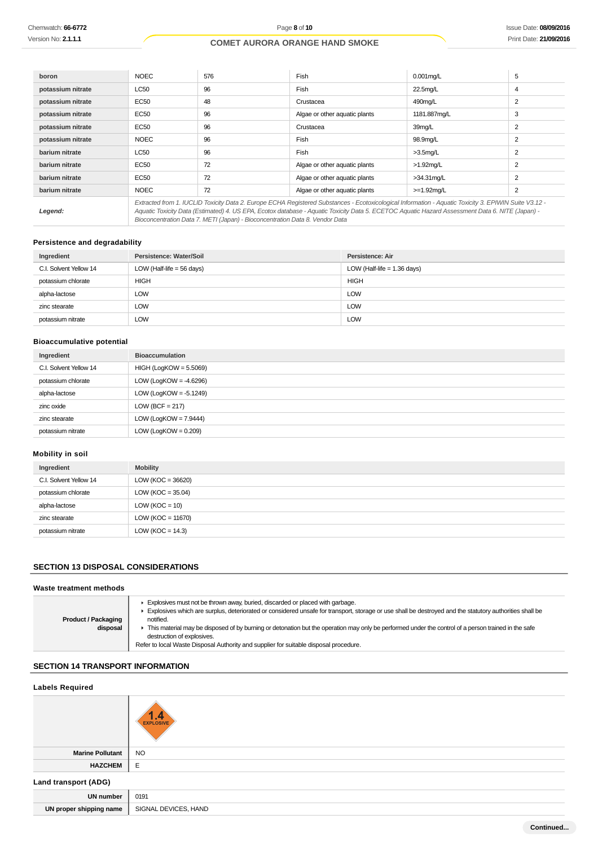| boron             | <b>NOEC</b>                                                                                                                                                                                                                                                                                                                                                                              | 576 | Fish                          | $0.001$ mg/L  | 5              |
|-------------------|------------------------------------------------------------------------------------------------------------------------------------------------------------------------------------------------------------------------------------------------------------------------------------------------------------------------------------------------------------------------------------------|-----|-------------------------------|---------------|----------------|
| potassium nitrate | <b>LC50</b>                                                                                                                                                                                                                                                                                                                                                                              | 96  | Fish                          | 22.5mg/L      | 4              |
| potassium nitrate | EC50                                                                                                                                                                                                                                                                                                                                                                                     | 48  | Crustacea                     | 490mg/L       |                |
| potassium nitrate | EC50                                                                                                                                                                                                                                                                                                                                                                                     | 96  | Algae or other aquatic plants | 1181.887mg/L  | 3              |
| potassium nitrate | EC50                                                                                                                                                                                                                                                                                                                                                                                     | 96  | Crustacea                     | 39mg/L        | 2              |
| potassium nitrate | <b>NOEC</b>                                                                                                                                                                                                                                                                                                                                                                              | 96  | Fish                          | 98.9mg/L      | $\overline{2}$ |
| barium nitrate    | <b>LC50</b>                                                                                                                                                                                                                                                                                                                                                                              | 96  | Fish                          | $>3.5$ mg/L   | $\overline{2}$ |
| barium nitrate    | EC50                                                                                                                                                                                                                                                                                                                                                                                     | 72  | Algae or other aguatic plants | $>1.92$ mg/L  | 2              |
| barium nitrate    | EC50                                                                                                                                                                                                                                                                                                                                                                                     | 72  | Algae or other aguatic plants | $>34.31$ mg/L |                |
| barium nitrate    | <b>NOEC</b>                                                                                                                                                                                                                                                                                                                                                                              | 72  | Algae or other aguatic plants | $>=1.92$ mg/L | 2              |
| Legend:           | Extracted from 1. IUCLID Toxicity Data 2. Europe ECHA Registered Substances - Ecotoxicological Information - Aquatic Toxicity 3. EPIWIN Suite V3.12 -<br>Aquatic Toxicity Data (Estimated) 4. US EPA, Ecotox database - Aquatic Toxicity Data 5. ECETOC Aquatic Hazard Assessment Data 6. NITE (Japan) -<br>Bioconcentration Data 7. METI (Japan) - Bioconcentration Data 8. Vendor Data |     |                               |               |                |

## **Persistence and degradability**

| Ingredient             | Persistence: Water/Soil     | Persistence: Air              |
|------------------------|-----------------------------|-------------------------------|
| C.I. Solvent Yellow 14 | LOW (Half-life $=$ 56 days) | LOW (Half-life $= 1.36$ days) |
| potassium chlorate     | <b>HIGH</b>                 | <b>HIGH</b>                   |
| alpha-lactose          | LOW                         | <b>LOW</b>                    |
| zinc stearate          | LOW                         | <b>LOW</b>                    |
| potassium nitrate      | <b>LOW</b>                  | <b>LOW</b>                    |

## **Bioaccumulative potential**

| Ingredient             | <b>Bioaccumulation</b>    |
|------------------------|---------------------------|
| C.I. Solvent Yellow 14 | $HIGH (LogKOW = 5.5069)$  |
| potassium chlorate     | LOW (LogKOW = $-4.6296$ ) |
| alpha-lactose          | LOW (LogKOW = $-5.1249$ ) |
| zinc oxide             | LOW (BCF = $217$ )        |
| zinc stearate          | LOW (LogKOW = $7.9444$ )  |
| potassium nitrate      | $LOW (LogKOW = 0.209)$    |

## **Mobility in soil**

| Ingredient             | <b>Mobility</b>       |
|------------------------|-----------------------|
| C.I. Solvent Yellow 14 | LOW ( $KOC = 36620$ ) |
| potassium chlorate     | LOW ( $KOC = 35.04$ ) |
| alpha-lactose          | $LOW (KOC = 10)$      |
| zinc stearate          | LOW ( $KOC = 11670$ ) |
| potassium nitrate      | LOW ( $KOC = 14.3$ )  |

## **SECTION 13 DISPOSAL CONSIDERATIONS**

| Waste treatment methods                |                                                                                                                                                                                                                                                                                                                                                                                                                                                                                                                                     |
|----------------------------------------|-------------------------------------------------------------------------------------------------------------------------------------------------------------------------------------------------------------------------------------------------------------------------------------------------------------------------------------------------------------------------------------------------------------------------------------------------------------------------------------------------------------------------------------|
| <b>Product / Packaging</b><br>disposal | Explosives must not be thrown away, buried, discarded or placed with garbage.<br>Explosives which are surplus, deteriorated or considered unsafe for transport, storage or use shall be destroyed and the statutory authorities shall be<br>notified.<br>This material may be disposed of by burning or detonation but the operation may only be performed under the control of a person trained in the safe<br>destruction of explosives.<br>Refer to local Waste Disposal Authority and supplier for suitable disposal procedure. |
|                                        |                                                                                                                                                                                                                                                                                                                                                                                                                                                                                                                                     |

## **SECTION 14 TRANSPORT INFORMATION**

| <b>Labels Required</b>  |                        |  |
|-------------------------|------------------------|--|
|                         | .4<br><b>EXPLOSIVE</b> |  |
| <b>Marine Pollutant</b> | <b>NO</b>              |  |
| <b>HAZCHEM</b>          | E                      |  |
| Land transport (ADG)    |                        |  |
| <b>UN number</b>        | 0191                   |  |
| UN proper shipping name | SIGNAL DEVICES, HAND   |  |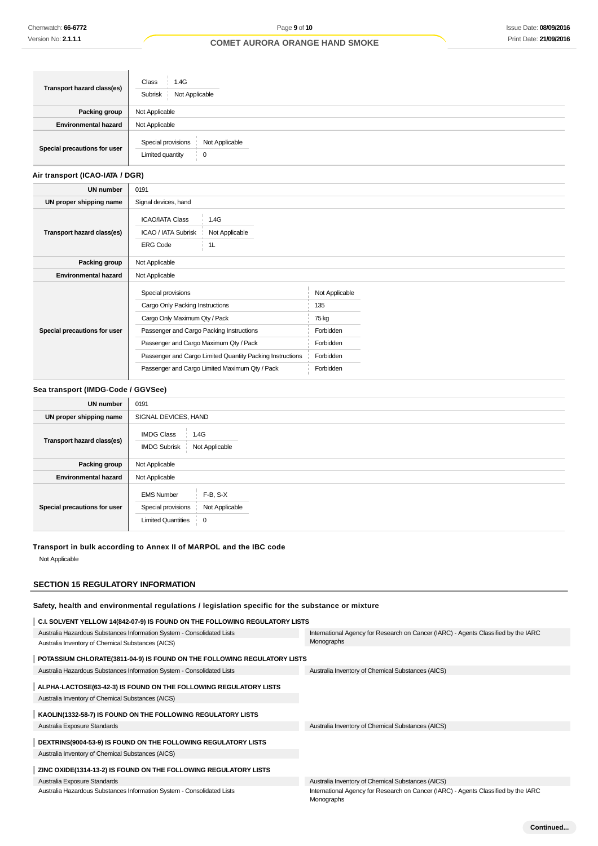| Transport hazard class(es)   | Class<br>1.4G<br>Not Applicable<br>Subrisk                    |
|------------------------------|---------------------------------------------------------------|
| Packing group                | Not Applicable                                                |
| <b>Environmental hazard</b>  | Not Applicable                                                |
| Special precautions for user | Special provisions<br>Not Applicable<br>Limited quantity<br>0 |

## **Air transport (ICAO-IATA / DGR)**

| <b>UN number</b>             | 0191                                                                                                                                                                                                                                                                                        |                                                                                    |  |
|------------------------------|---------------------------------------------------------------------------------------------------------------------------------------------------------------------------------------------------------------------------------------------------------------------------------------------|------------------------------------------------------------------------------------|--|
| UN proper shipping name      | Signal devices, hand                                                                                                                                                                                                                                                                        |                                                                                    |  |
| Transport hazard class(es)   | <b>ICAO/IATA Class</b><br>1.4G<br><b>ICAO / IATA Subrisk</b><br>Not Applicable<br>1L<br><b>ERG Code</b>                                                                                                                                                                                     |                                                                                    |  |
| Packing group                | Not Applicable                                                                                                                                                                                                                                                                              |                                                                                    |  |
| <b>Environmental hazard</b>  | Not Applicable                                                                                                                                                                                                                                                                              |                                                                                    |  |
| Special precautions for user | Special provisions<br>Cargo Only Packing Instructions<br>Cargo Only Maximum Qty / Pack<br>Passenger and Cargo Packing Instructions<br>Passenger and Cargo Maximum Qty / Pack<br>Passenger and Cargo Limited Quantity Packing Instructions<br>Passenger and Cargo Limited Maximum Qty / Pack | Not Applicable<br>135<br>75 kg<br>Forbidden<br>Forbidden<br>Forbidden<br>Forbidden |  |

## **Sea transport (IMDG-Code / GGVSee)**

| <b>UN number</b>             | 0191                                                                                                                      |  |  |
|------------------------------|---------------------------------------------------------------------------------------------------------------------------|--|--|
| UN proper shipping name      | SIGNAL DEVICES, HAND                                                                                                      |  |  |
| Transport hazard class(es)   | <b>IMDG Class</b><br>1.4G<br><b>IMDG Subrisk</b><br>Not Applicable                                                        |  |  |
| Packing group                | Not Applicable                                                                                                            |  |  |
| <b>Environmental hazard</b>  | Not Applicable                                                                                                            |  |  |
| Special precautions for user | $F-B$ , $S-X$<br><b>EMS Number</b><br>Not Applicable<br>Special provisions<br><b>Limited Quantities</b><br>$\overline{0}$ |  |  |

#### **Transport in bulk according to Annex II of MARPOL and the IBC code**

Not Applicable

## **SECTION 15 REGULATORY INFORMATION**

## **Safety, health and environmental regulations / legislation specific for the substance or mixture**

| C.I. SOLVENT YELLOW 14(842-07-9) IS FOUND ON THE FOLLOWING REGULATORY LISTS |                                                                                                  |
|-----------------------------------------------------------------------------|--------------------------------------------------------------------------------------------------|
| Australia Hazardous Substances Information System - Consolidated Lists      | International Agency for Research on Cancer (IARC) - Agents Classified by the IARC               |
| Australia Inventory of Chemical Substances (AICS)                           | Monographs                                                                                       |
| POTASSIUM CHLORATE(3811-04-9) IS FOUND ON THE FOLLOWING REGULATORY LISTS    |                                                                                                  |
| Australia Hazardous Substances Information System - Consolidated Lists      | Australia Inventory of Chemical Substances (AICS)                                                |
| ALPHA-LACTOSE(63-42-3) IS FOUND ON THE FOLLOWING REGULATORY LISTS           |                                                                                                  |
| Australia Inventory of Chemical Substances (AICS)                           |                                                                                                  |
| KAOLIN(1332-58-7) IS FOUND ON THE FOLLOWING REGULATORY LISTS                |                                                                                                  |
| Australia Exposure Standards                                                | Australia Inventory of Chemical Substances (AICS)                                                |
| DEXTRINS(9004-53-9) IS FOUND ON THE FOLLOWING REGULATORY LISTS              |                                                                                                  |
| Australia Inventory of Chemical Substances (AICS)                           |                                                                                                  |
| ZINC OXIDE(1314-13-2) IS FOUND ON THE FOLLOWING REGULATORY LISTS            |                                                                                                  |
| Australia Exposure Standards                                                | Australia Inventory of Chemical Substances (AICS)                                                |
| Australia Hazardous Substances Information System - Consolidated Lists      | International Agency for Research on Cancer (IARC) - Agents Classified by the IARC<br>Monographs |